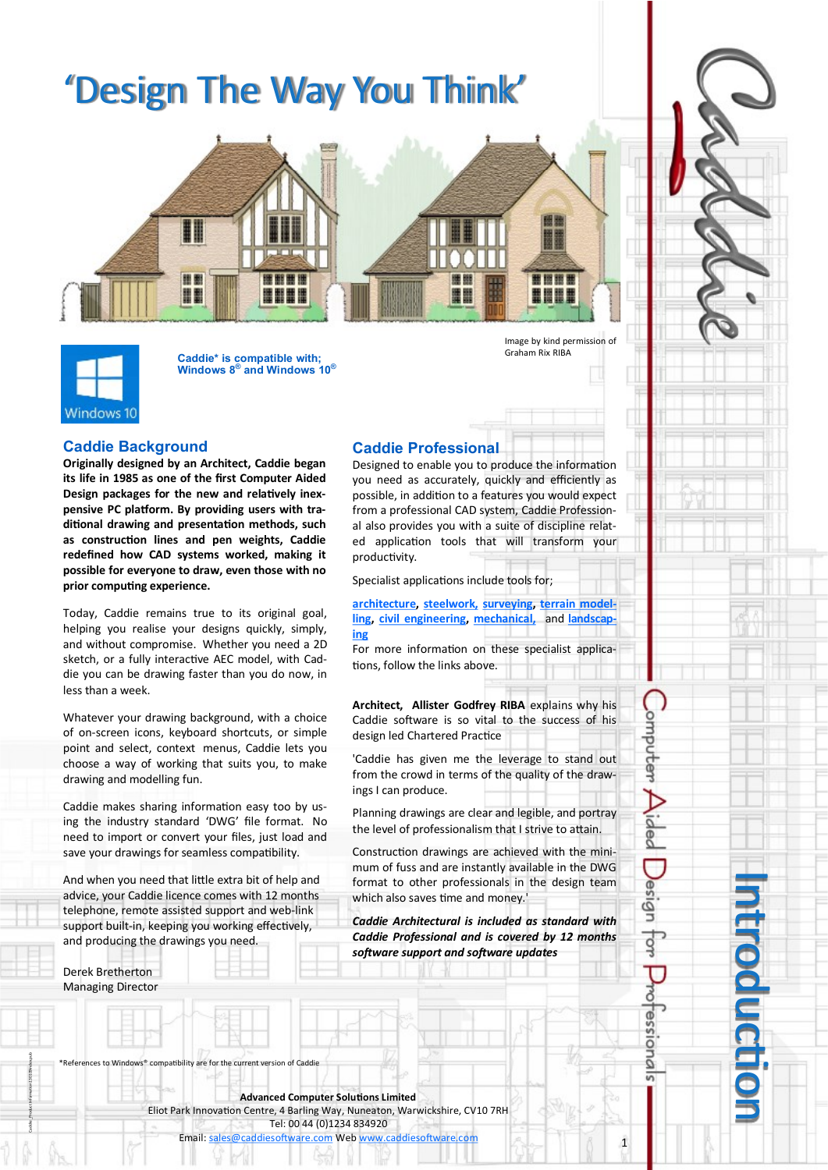# 'Design The Way You Think'



Windows 10

**Caddie\* is compatible with; Windows 8® and Windows 10®** Image by kind permission of Graham Rix RIBA

## **Caddie Background**

**Originally designed by an Architect, Caddie began its life in 1985 as one of the first Computer Aided Design packages for the new and relatively inexpensive PC platform. By providing users with traditional drawing and presentation methods, such as construction lines and pen weights, Caddie redefined how CAD systems worked, making it possible for everyone to draw, even those with no prior computing experience.**

Today, Caddie remains true to its original goal, helping you realise your designs quickly, simply, and without compromise. Whether you need a 2D sketch, or a fully interactive AEC model, with Caddie you can be drawing faster than you do now, in less than a week.

Whatever your drawing background, with a choice of on-screen icons, keyboard shortcuts, or simple point and select, context menus, Caddie lets you choose a way of working that suits you, to make drawing and modelling fun.

Caddie makes sharing information easy too by using the industry standard 'DWG' file format. No need to import or convert your files, just load and save your drawings for seamless compatibility.

And when you need that little extra bit of help and advice, your Caddie licence comes with 12 months telephone, remote assisted support and web-link support built-in, keeping you working effectively, and producing the drawings you need.

## Derek Bretherton Managing Director

Caddie \_Product Information 130109index.pub

**Caddie Professional** Designed to enable you to produce the information you need as accurately, quickly and efficiently as possible, in addition to a features you would expect from a professional CAD system, Caddie Professional also provides you with a suite of discipline related application tools that will transform your productivity.

Specialist applications include tools for;

**[architecture,](http://www.caddiesoftware.com/index.php/solutions/architecture) [steelwork,](http://www.caddiesoftware.com/index.php/solutions/steelwork) [surveying,](http://www.caddiesoftware.com/index.php/solutions/surveying) [terrain model](http://www.caddiesoftware.com/index.php/solutions/digital-terrain-modelling)[ling,](http://www.caddiesoftware.com/index.php/solutions/digital-terrain-modelling) [civil engineering,](http://www.caddiesoftware.com/index.php/solutions/civil-engineering) [mechanical,](http://www.caddiesoftware.com/index.php/solutions/mechanical-engineering)** and **[landscap](http://www.caddiesoftware.com/index.php/solutions/landscape)[ing](http://www.caddiesoftware.com/index.php/solutions/landscape)**

For more information on these specialist applications, follow the links above.

**Architect, Allister Godfrey RIBA** explains why his Caddie software is so vital to the success of his design led Chartered Practice

'Caddie has given me the leverage to stand out from the crowd in terms of the quality of the drawings I can produce.

Planning drawings are clear and legible, and portray the level of professionalism that I strive to attain.

Construction drawings are achieved with the minimum of fuss and are instantly available in the DWG format to other professionals in the design team which also saves time and money.'

*Caddie Architectural is included as standard with Caddie Professional and is covered by 12 months software support and software updates*

References to Windows® compatibility are for the current version of Caddie

**Advanced Computer Solutions Limited** Eliot Park Innovation Centre, 4 Barling Way, Nuneaton, Warwickshire, CV10 7RH Tel: 00 44 (0)1234 834920 Email: [sales@caddiesoftware.com](mailto:sales@caddiesoftware.com) Web [www.caddiesoftware.com](http://www.caddiesoftware.com)

Introduction

1

omputer

Jesign

 $\frac{1}{2}$ 

ර්

 $OISSB$ 

ā ᇹ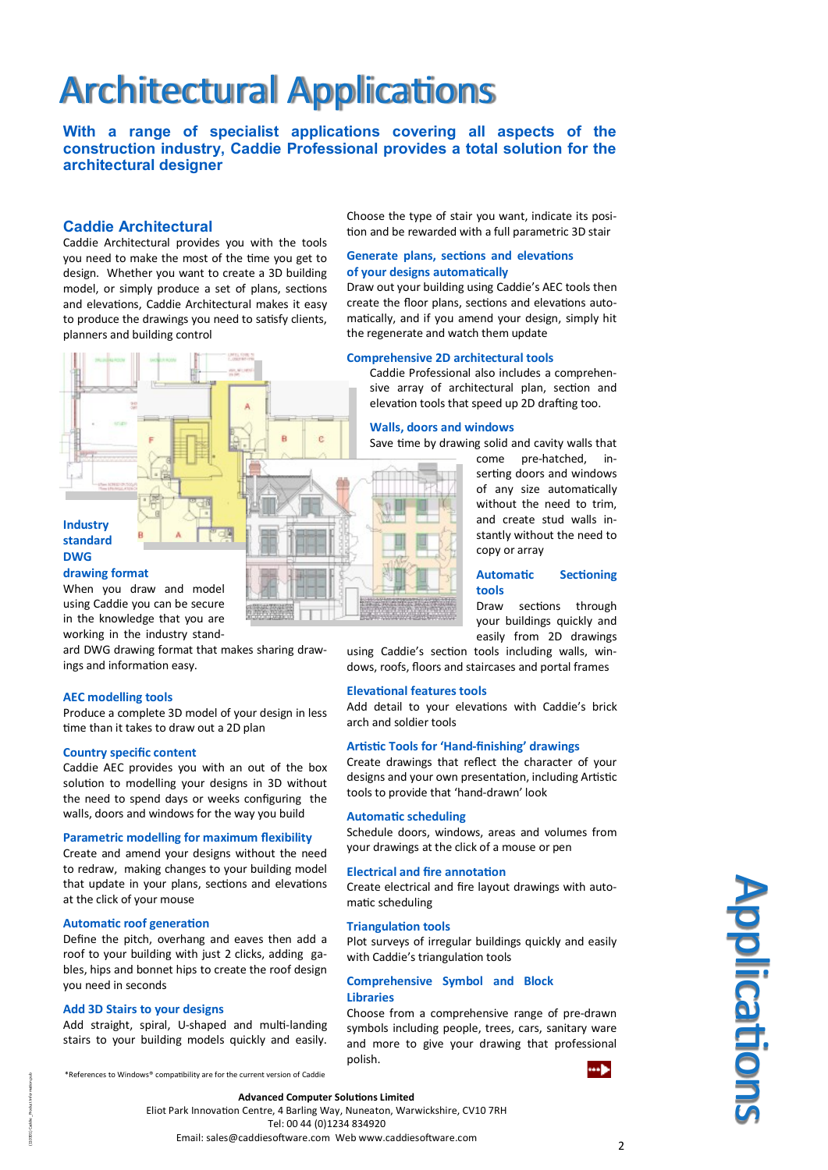# Architectural Applications

**With a range of specialist applications covering all aspects of the construction industry, Caddie Professional provides a total solution for the architectural designer**

## **Caddie Architectural**

Caddie Architectural provides you with the tools you need to make the most of the time you get to design. Whether you want to create a 3D building model, or simply produce a set of plans, sections and elevations, Caddie Architectural makes it easy to produce the drawings you need to satisfy clients, planners and building control



## **drawing format**

When you draw and model using Caddie you can be secure in the knowledge that you are working in the industry stand-

ard DWG drawing format that makes sharing drawings and information easy.

## **AEC modelling tools**

Produce a complete 3D model of your design in less time than it takes to draw out a 2D plan

## **Country specific content**

Caddie AEC provides you with an out of the box solution to modelling your designs in 3D without the need to spend days or weeks configuring the walls, doors and windows for the way you build

### **Parametric modelling for maximum flexibility**

Create and amend your designs without the need to redraw, making changes to your building model that update in your plans, sections and elevations at the click of your mouse

## **Automatic roof generation**

Define the pitch, overhang and eaves then add a roof to your building with just 2 clicks, adding gables, hips and bonnet hips to create the roof design you need in seconds

## **Add 3D Stairs to your designs**

Add straight, spiral, U-shaped and multi-landing stairs to your building models quickly and easily.

\*References to Windows® compatibility are for the current version of Caddie

Choose the type of stair you want, indicate its position and be rewarded with a full parametric 3D stair

#### **Generate plans, sections and elevations of your designs automatically**

Draw out your building using Caddie's AEC tools then create the floor plans, sections and elevations automatically, and if you amend your design, simply hit the regenerate and watch them update

### **Comprehensive 2D architectural tools**

Caddie Professional also includes a comprehensive array of architectural plan, section and elevation tools that speed up 2D drafting too.

#### **Walls, doors and windows**

Save time by drawing solid and cavity walls that

come pre-hatched, inserting doors and windows of any size automatically without the need to trim, and create stud walls instantly without the need to copy or array

## **Automatic Sectioning tools**

Draw sections through your buildings quickly and easily from 2D drawings

using Caddie's section tools including walls, windows, roofs, floors and staircases and portal frames

## **Elevational features tools**

Add detail to your elevations with Caddie's brick arch and soldier tools

## **Artistic Tools for 'Hand-finishing' drawings**

Create drawings that reflect the character of your designs and your own presentation, including Artistic tools to provide that 'hand-drawn' look

## **Automatic scheduling**

Schedule doors, windows, areas and volumes from your drawings at the click of a mouse or pen

#### **Electrical and fire annotation**

Create electrical and fire layout drawings with automatic scheduling

#### **Triangulation tools**

Plot surveys of irregular buildings quickly and easily with Caddie's triangulation tools

## **Comprehensive Symbol and Block Libraries**

Choose from a comprehensive range of pre-drawn symbols including people, trees, cars, sanitary ware and more to give your drawing that professional polish.



Eliot Park Innovation Centre, 4 Barling Way, Nuneaton, Warwickshire, CV10 7RH Tel: 00 44 (0)1234 834920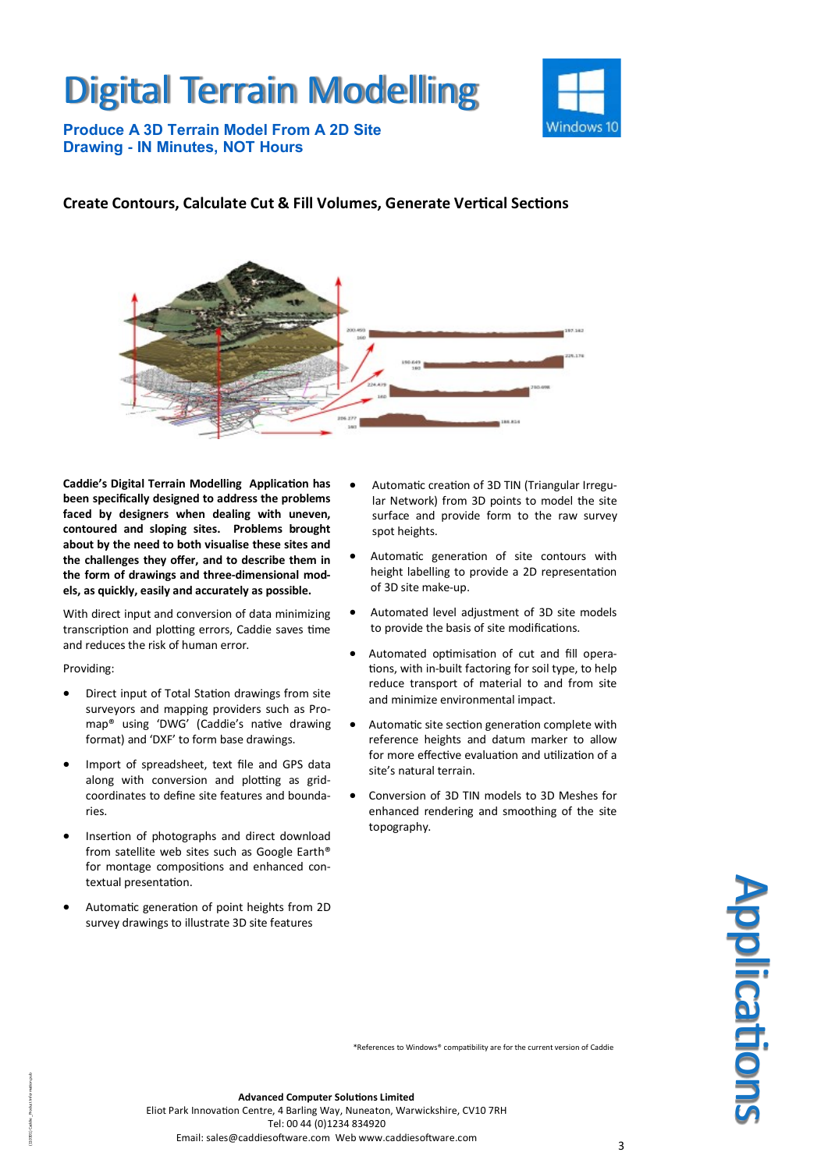# Digital Terrain Modelling



**Produce A 3D Terrain Model From A 2D Site Drawing - IN Minutes, NOT Hours**

## **Create Contours, Calculate Cut & Fill Volumes, Generate Vertical Sections**



**Caddie's Digital Terrain Modelling Application has been specifically designed to address the problems faced by designers when dealing with uneven, contoured and sloping sites. Problems brought about by the need to both visualise these sites and the challenges they offer, and to describe them in the form of drawings and three-dimensional models, as quickly, easily and accurately as possible.**

With direct input and conversion of data minimizing transcription and plotting errors, Caddie saves time and reduces the risk of human error.

## Providing:

(110301) Caddie \_Product Information.pub

- Direct input of Total Station drawings from site surveyors and mapping providers such as Promap® using 'DWG' (Caddie's native drawing format) and 'DXF' to form base drawings.
- Import of spreadsheet, text file and GPS data along with conversion and plotting as gridcoordinates to define site features and boundaries.
- Insertion of photographs and direct download from satellite web sites such as Google Earth® for montage compositions and enhanced contextual presentation.
- Automatic generation of point heights from 2D survey drawings to illustrate 3D site features
- Automatic creation of 3D TIN (Triangular Irregular Network) from 3D points to model the site surface and provide form to the raw survey spot heights.
- Automatic generation of site contours with height labelling to provide a 2D representation of 3D site make-up.
- Automated level adjustment of 3D site models to provide the basis of site modifications.
- Automated optimisation of cut and fill operations, with in-built factoring for soil type, to help reduce transport of material to and from site and minimize environmental impact.
- Automatic site section generation complete with reference heights and datum marker to allow for more effective evaluation and utilization of a site's natural terrain.
- Conversion of 3D TIN models to 3D Meshes for enhanced rendering and smoothing of the site topography.



\*References to Windows® compatibility are for the current version of Caddie